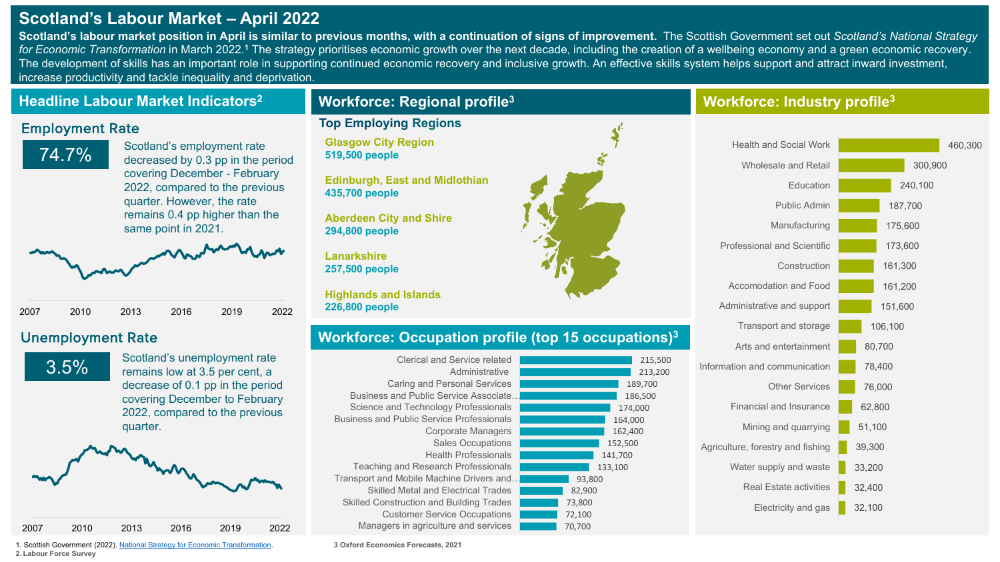# **Scotland's Labour Market – April 2022**

**Scotland's labour market position in April is similar to previous months, with a continuation of signs of improvement.**  The Scottish Government set out *Scotland's National Strategy*  for Economic Transformation in March 2022.<sup>1</sup> The strategy prioritises economic growth over the next decade, including the creation of a wellbeing economy and a green economic recovery. The development of skills has an important role in supporting continued economic recovery and inclusive growth. An effective skills system helps support and attract inward investment, increase productivity and tackle inequality and deprivation.

## **Headline Labour Market Indicators2**

### Employment Rate

74.7% Scotland's employment rate decreased by 0.3 pp in the period covering December - February 2022, compared to the previous quarter. However, the rate remains 0.4 pp higher than the same point in 2021.



# Unemployment Rate



Scotland's unemployment rate remains low at 3.5 per cent, a decrease of 0.1 pp in the period covering December to February 2022, compared to the previous quarter.



**1.** Scottish Government (2022). [National Strategy for Economic Transformation](https://www.gov.scot/publications/scotlands-national-strategy-economic-transformation/). **2. Labour Force Survey** 

# **Workforce: Regional profile3**

### **Top Employing Regions**

**Glasgow City Region 519,500 people**

**Edinburgh, East and Midlothian 435,700 people**

**Aberdeen City and Shire 294,800 people**

**Lanarkshire 257,500 people**

**Highlands and Islands 226,800 people**

# **Workforce: Occupation profile (top 15 occupations)3**

| Clerical and Service related                     |        | 215,500 |
|--------------------------------------------------|--------|---------|
| Administrative                                   |        | 213,200 |
| Caring and Personal Services                     |        | 189,700 |
| <b>Business and Public Service Associate</b>     |        | 186,500 |
| Science and Technology Professionals             |        | 174,000 |
| <b>Business and Public Service Professionals</b> |        | 164,000 |
| Corporate Managers                               |        | 162,400 |
| <b>Sales Occupations</b>                         |        | 152,500 |
| <b>Health Professionals</b>                      |        | 141,700 |
| Teaching and Research Professionals              |        | 133,100 |
| Transport and Mobile Machine Drivers and         | 93,800 |         |
| <b>Skilled Metal and Electrical Trades</b>       | 82,900 |         |
| <b>Skilled Construction and Building Trades</b>  | 73,800 |         |
| <b>Customer Service Occupations</b>              | 72,100 |         |
| Managers in agriculture and services             | 70,700 |         |
|                                                  |        |         |



## **Workforce: Industry profile3**



**3 Oxford Economics Forecasts, 2021**